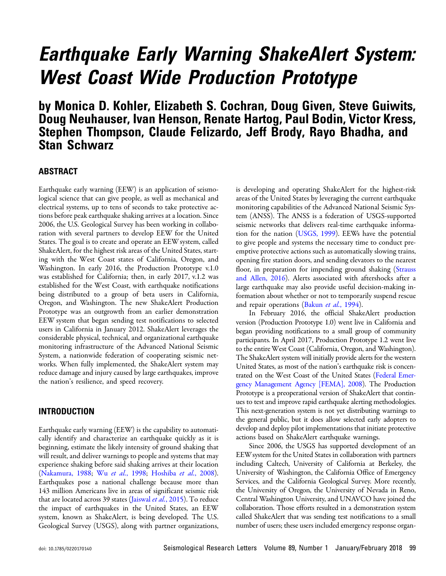# Earthquake Early Warning ShakeAlert System: West Coast Wide Production Prototype

by Monica D. Kohler, Elizabeth S. Cochran, Doug Given, Steve Guiwits, Doug Neuhauser, Ivan Henson, Renate Hartog, Paul Bodin, Victor Kress, Stephen Thompson, Claude Felizardo, Jeff Brody, Rayo Bhadha, and Stan Schwarz

# ABSTRACT

Earthquake early warning (EEW) is an application of seismological science that can give people, as well as mechanical and electrical systems, up to tens of seconds to take protective actions before peak earthquake shaking arrives at a location. Since 2006, the U.S. Geological Survey has been working in collaboration with several partners to develop EEW for the United States. The goal is to create and operate an EEW system, called ShakeAlert, for the highest risk areas of the United States, starting with the West Coast states of California, Oregon, and Washington. In early 2016, the Production Prototype v.1.0 was established for California; then, in early 2017, v.1.2 was established for the West Coast, with earthquake notifications being distributed to a group of beta users in California, Oregon, and Washington. The new ShakeAlert Production Prototype was an outgrowth from an earlier demonstration EEW system that began sending test notifications to selected users in California in January 2012. ShakeAlert leverages the considerable physical, technical, and organizational earthquake monitoring infrastructure of the Advanced National Seismic System, a nationwide federation of cooperating seismic networks. When fully implemented, the ShakeAlert system may reduce damage and injury caused by large earthquakes, improve the nation's resilience, and speed recovery.

# INTRODUCTION

Earthquake early warning (EEW) is the capability to automatically identify and characterize an earthquake quickly as it is beginning, estimate the likely intensity of ground shaking that will result, and deliver warnings to people and systems that may experience shaking before said shaking arrives at their location [\(Nakamura, 1988](#page-8-0); Wu et al.[, 1998;](#page-8-0) [Hoshiba](#page-8-0) et al., 2008). Earthquakes pose a national challenge because more than 143 million Americans live in areas of significant seismic risk that are located across 39 states [\(Jaiswal](#page-8-0) et al., 2015). To reduce the impact of earthquakes in the United States, an EEW system, known as ShakeAlert, is being developed. The U.S. Geological Survey (USGS), along with partner organizations,

is developing and operating ShakeAlert for the highest-risk areas of the United States by leveraging the current earthquake monitoring capabilities of the Advanced National Seismic System (ANSS). The ANSS is a federation of USGS-supported seismic networks that delivers real-time earthquake information for the nation [\(USGS, 1999\)](#page-8-0). EEWs have the potential to give people and systems the necessary time to conduct preemptive protective actions such as automatically slowing trains, opening fire station doors, and sending elevators to the nearest floor, in preparation for impending ground shaking ([Strauss](#page-8-0) [and Allen, 2016\)](#page-8-0). Alerts associated with aftershocks after a large earthquake may also provide useful decision-making information about whether or not to temporarily suspend rescue and repair operations (Bakun *et al.*[, 1994\)](#page-7-0).

In February 2016, the official ShakeAlert production version (Production Prototype 1.0) went live in California and began providing notifications to a small group of community participants. In April 2017, Production Prototype 1.2 went live to the entireWest Coast (California, Oregon, and Washington). The ShakeAlert system will initially provide alerts for the western United States, as most of the nation's earthquake risk is concentrated on the West Coast of the United States ([Federal Emer](#page-7-0)[gency Management Agency \[FEMA\], 2008](#page-7-0)). The Production Prototype is a preoperational version of ShakeAlert that continues to test and improve rapid earthquake alerting methodologies. This next-generation system is not yet distributing warnings to the general public, but it does allow selected early adopters to develop and deploy pilot implementations that initiate protective actions based on ShakeAlert earthquake warnings.

Since 2006, the USGS has supported development of an EEW system for the United States in collaboration with partners including Caltech, University of California at Berkeley, the University of Washington, the California Office of Emergency Services, and the California Geological Survey. More recently, the University of Oregon, the University of Nevada in Reno, Central Washington University, and UNAVCO have joined the collaboration. Those efforts resulted in a demonstration system called ShakeAlert that was sending test notifications to a small number of users; these users included emergency response organ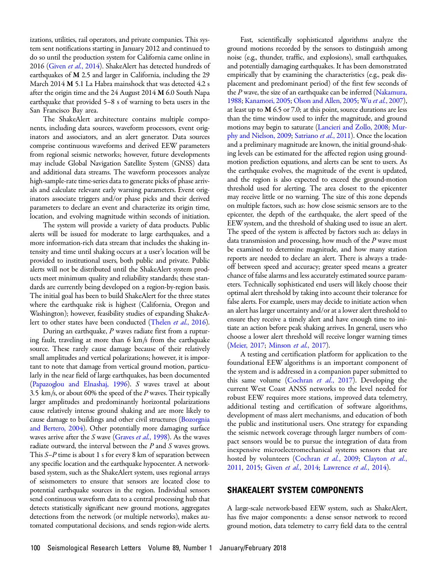izations, utilities, rail operators, and private companies. This system sent notifications starting in January 2012 and continued to do so until the production system for California came online in 2016 (Given et al.[, 2014\)](#page-7-0). ShakeAlert has detected hundreds of earthquakes of M 2.5 and larger in California, including the 29 March 2014 M 5.1 La Habra mainshock that was detected 4.2 s after the origin time and the 24 August 2014 M 6.0 South Napa earthquake that provided 5–8 s of warning to beta users in the San Francisco Bay area.

The ShakeAlert architecture contains multiple components, including data sources, waveform processors, event originators and associators, and an alert generator. Data sources comprise continuous waveforms and derived EEW parameters from regional seismic networks; however, future developments may include Global Navigation Satellite System (GNSS) data and additional data streams. The waveform processors analyze high-sample-rate time-series data to generate picks of phase arrivals and calculate relevant early warning parameters. Event originators associate triggers and/or phase picks and their derived parameters to declare an event and characterize its origin time, location, and evolving magnitude within seconds of initiation.

The system will provide a variety of data products. Public alerts will be issued for moderate to large earthquakes, and a more information-rich data stream that includes the shaking intensity and time until shaking occurs at a user's location will be provided to institutional users, both public and private. Public alerts will not be distributed until the ShakeAlert system products meet minimum quality and reliability standards; these standards are currently being developed on a region-by-region basis. The initial goal has been to build ShakeAlert for the three states where the earthquake risk is highest (California, Oregon and Washington); however, feasibility studies of expanding ShakeA-lert to other states have been conducted ([Thelen](#page-8-0) et al., 2016).

During an earthquake,  $P$  waves radiate first from a rupturing fault, traveling at more than  $6 \text{ km/s}$  from the earthquake source. These rarely cause damage because of their relatively small amplitudes and vertical polarizations; however, it is important to note that damage from vertical ground motion, particularly in the near field of large earthquakes, has been documented [\(Papazoglou and Elnashaj, 1996\)](#page-8-0). S waves travel at about 3.5 km/s, or about 60% the speed of the P waves. Their typically larger amplitudes and predominantly horizontal polarizations cause relatively intense ground shaking and are more likely to cause damage to buildings and other civil structures ([Bozorgnia](#page-7-0) [and Bertero, 2004\)](#page-7-0). Other potentially more damaging surface waves arrive after the S wave [\(Graves](#page-8-0) *et al.*, 1998). As the waves radiate outward, the interval between the  $P$  and  $S$  waves grows. This S-P time is about 1 s for every 8 km of separation between any specific location and the earthquake hypocenter. A networkbased system, such as the ShakeAlert system, uses regional arrays of seismometers to ensure that sensors are located close to potential earthquake sources in the region. Individual sensors send continuous waveform data to a central processing hub that detects statistically significant new ground motions, aggregates detections from the network (or multiple networks), makes automated computational decisions, and sends region-wide alerts.

Fast, scientifically sophisticated algorithms analyze the ground motions recorded by the sensors to distinguish among noise (e.g., thunder, traffic, and explosions), small earthquakes, and potentially damaging earthquakes. It has been demonstrated empirically that by examining the characteristics (e.g., peak displacement and predominant period) of the first few seconds of the  $P$  wave, the size of an earthquake can be inferred [\(Nakamura,](#page-8-0) [1988;](#page-8-0) [Kanamori, 2005;](#page-8-0) [Olson and Allen, 2005](#page-8-0); Wu et al.[, 2007\)](#page-8-0), at least up to  $M$  6.5 or 7.0; at this point, source durations are less than the time window used to infer the magnitude, and ground motions may begin to saturate [\(Lancieri and Zollo, 2008](#page-8-0); [Mur](#page-8-0)[phy and Nielson, 2009;](#page-8-0) [Satriano](#page-8-0) et al., 2011). Once the location and a preliminary magnitude are known, the initial ground-shaking levels can be estimated for the affected region using groundmotion prediction equations, and alerts can be sent to users. As the earthquake evolves, the magnitude of the event is updated, and the region is also expected to exceed the ground-motion threshold used for alerting. The area closest to the epicenter may receive little or no warning. The size of this zone depends on multiple factors, such as: how close seismic sensors are to the epicenter, the depth of the earthquake, the alert speed of the EEW system, and the threshold of shaking used to issue an alert. The speed of the system is affected by factors such as: delays in data transmission and processing, how much of the  $P$  wave must be examined to determine magnitude, and how many station reports are needed to declare an alert. There is always a tradeoff between speed and accuracy; greater speed means a greater chance of false alarms and less accurately estimated source parameters. Technically sophisticated end users will likely choose their optimal alert threshold by taking into account their tolerance for false alerts. For example, users may decide to initiate action when an alert has larger uncertainty and/or at a lower alert threshold to ensure they receive a timely alert and have enough time to initiate an action before peak shaking arrives. In general, users who choose a lower alert threshold will receive longer warning times [\(Meier, 2017](#page-8-0); [Minson](#page-8-0) et al., 2017).

A testing and certification platform for application to the foundational EEW algorithms is an important component of the system and is addressed in a companion paper submitted to this same volume ([Cochran](#page-7-0) et al., 2017). Developing the current West Coast ANSS networks to the level needed for robust EEW requires more stations, improved data telemetry, additional testing and certification of software algorithms, development of mass alert mechanisms, and education of both the public and institutional users. One strategy for expanding the seismic network coverage through larger numbers of compact sensors would be to pursue the integration of data from inexpensive microelectromechanical systems sensors that are hosted by volunteers [\(Cochran](#page-7-0) et al., 2009; [Clayton](#page-7-0) et al., [2011](#page-7-0), [2015;](#page-7-0) Given et al.[, 2014;](#page-7-0) [Lawrence](#page-8-0) et al., 2014).

# SHAKEALERT SYSTEM COMPONENTS

A large-scale network-based EEW system, such as ShakeAlert, has five major components: a dense sensor network to record ground motion, data telemetry to carry field data to the central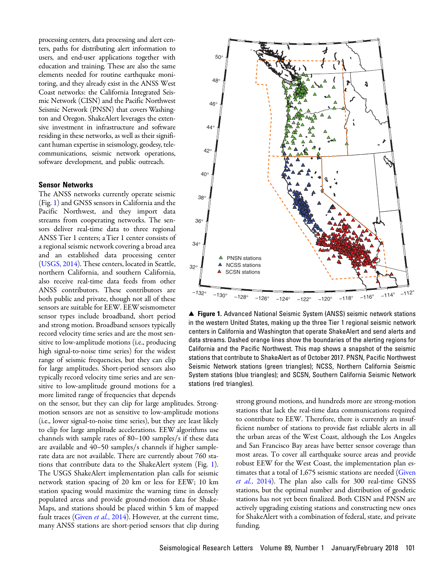processing centers, data processing and alert centers, paths for distributing alert information to users, and end-user applications together with education and training. These are also the same elements needed for routine earthquake monitoring, and they already exist in the ANSS West Coast networks: the California Integrated Seismic Network (CISN) and the Pacific Northwest Seismic Network (PNSN) that covers Washington and Oregon. ShakeAlert leverages the extensive investment in infrastructure and software residing in these networks, as well as their significant human expertise in seismology, geodesy, telecommunications, seismic network operations, software development, and public outreach.

#### Sensor Networks

The ANSS networks currently operate seismic (Fig. 1) and GNSS sensors in California and the Pacific Northwest, and they import data streams from cooperating networks. The sensors deliver real-time data to three regional ANSS Tier 1 centers; a Tier 1 center consists of a regional seismic network covering a broad area and an established data processing center [\(USGS, 2014](#page-8-0)). These centers, located in Seattle, northern California, and southern California, also receive real-time data feeds from other ANSS contributors. These contributors are both public and private, though not all of these sensors are suitable for EEW. EEW seismometer sensor types include broadband, short period and strong motion. Broadband sensors typically record velocity time series and are the most sensitive to low-amplitude motions (i.e., producing high signal-to-noise time series) for the widest range of seismic frequencies, but they can clip for large amplitudes. Short-period sensors also typically record velocity time series and are sensitive to low-amplitude ground motions for a more limited range of frequencies that depends

on the sensor, but they can clip for large amplitudes. Strongmotion sensors are not as sensitive to low-amplitude motions (i.e., lower signal-to-noise time series), but they are least likely to clip for large amplitude accelerations. EEW algorithms use channels with sample rates of  $80-100$  samples/s if these data are available and 40–50 samples/s channels if higher samplerate data are not available. There are currently about 760 stations that contribute data to the ShakeAlert system (Fig. 1). The USGS ShakeAlert implementation plan calls for seismic network station spacing of 20 km or less for EEW; 10 km station spacing would maximize the warning time in densely populated areas and provide ground-motion data for Shake-Maps, and stations should be placed within 5 km of mapped fault traces (Given et al.[, 2014](#page-7-0)). However, at the current time, many ANSS stations are short-period sensors that clip during



▲ Figure 1. Advanced National Seismic System (ANSS) seismic network stations in the western United States, making up the three Tier 1 regional seismic network centers in California and Washington that operate ShakeAlert and send alerts and data streams. Dashed orange lines show the boundaries of the alerting regions for California and the Pacific Northwest. This map shows a snapshot of the seismic stations that contribute to ShakeAlert as of October 2017. PNSN, Pacific Northwest Seismic Network stations (green triangles); NCSS, Northern California Seismic System stations (blue triangles); and SCSN, Southern California Seismic Network stations (red triangles).

strong ground motions, and hundreds more are strong-motion stations that lack the real-time data communications required to contribute to EEW. Therefore, there is currently an insufficient number of stations to provide fast reliable alerts in all the urban areas of the West Coast, although the Los Angeles and San Francisco Bay areas have better sensor coverage than most areas. To cover all earthquake source areas and provide robust EEW for the West Coast, the implementation plan estimates that a total of 1,675 seismic stations are needed [\(Given](#page-7-0) et al.[, 2014\)](#page-7-0). The plan also calls for 300 real-time GNSS stations, but the optimal number and distribution of geodetic stations has not yet been finalized. Both CISN and PNSN are actively upgrading existing stations and constructing new ones for ShakeAlert with a combination of federal, state, and private funding.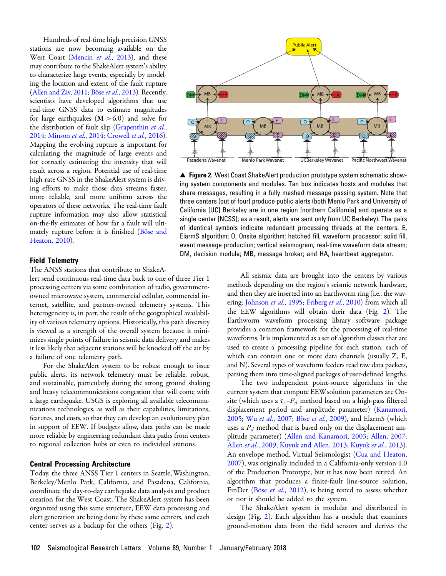<span id="page-3-0"></span>Hundreds of real-time high-precision GNSS stations are now becoming available on the West Coast [\(Mencin](#page-8-0) et al., 2013), and these may contribute to the ShakeAlert system's ability to characterize large events, especially by modeling the location and extent of the fault rupture [\(Allen and Ziv, 2011](#page-7-0); Böse et al.[, 2013\)](#page-7-0). Recently, scientists have developed algorithms that use real-time GNSS data to estimate magnitudes for large earthquakes  $(M > 6.0)$  and solve for the distribution of fault slip ([Grapenthin](#page-8-0) et al., [2014;](#page-8-0) [Minson](#page-8-0) et al., 2014; [Crowell](#page-7-0) et al., 2016). Mapping the evolving rupture is important for calculating the magnitude of large events and for correctly estimating the intensity that will result across a region. Potential use of real-time high-rate GNSS in the ShakeAlert system is driving efforts to make those data streams faster, more reliable, and more uniform across the operators of these networks. The real-time fault rupture information may also allow statistical on-the-fly estimates of how far a fault will ultimately rupture before it is finished [\(Böse and](#page-7-0) [Heaton, 2010](#page-7-0)).

#### Field Telemetry

The ANSS stations that contribute to ShakeA-

lert send continuous real-time data back to one of three Tier 1 processing centers via some combination of radio, governmentowned microwave system, commercial cellular, commercial internet, satellite, and partner-owned telemetry systems. This heterogeneity is, in part, the result of the geographical availability of various telemetry options. Historically, this path diversity is viewed as a strength of the overall system because it minimizes single points of failure in seismic data delivery and makes it less likely that adjacent stations will be knocked off the air by a failure of one telemetry path.

For the ShakeAlert system to be robust enough to issue public alerts, its network telemetry must be reliable, robust, and sustainable, particularly during the strong ground shaking and heavy telecommunications congestion that will come with a large earthquake. USGS is exploring all available telecommunications technologies, as well as their capabilities, limitations, features, and costs, so that they can develop an evolutionary plan in support of EEW. If budgets allow, data paths can be made more reliable by engineering redundant data paths from centers to regional collection hubs or even to individual stations.

#### Central Processing Architecture

Today, the three ANSS Tier 1 centers in Seattle, Washington, Berkeley/Menlo Park, California, and Pasadena, California, coordinate the day-to-day earthquake data analysis and product creation for the West Coast. The ShakeAlert system has been organized using this same structure; EEW data processing and alert generation are being done by these same centers, and each center serves as a backup for the others (Fig. 2).



▴ Figure 2. West Coast ShakeAlert production prototype system schematic showing system components and modules. Tan box indicates hosts and modules that share messages, resulting in a fully meshed message passing system. Note that three centers (out of four) produce public alerts (both Menlo Park and University of California [UC] Berkeley are in one region [northern California] and operate as a single center [NCSS]; as a result, alerts are sent only from UC Berkeley). The pairs of identical symbols indicate redundant processing threads at the centers. E, ElarmS algorithm; O, Onsite algorithm; hatched fill, waveform processor; solid fill, event message production; vertical seismogram, real-time waveform data stream; DM, decision module; MB, message broker; and HA, heartbeat aggregator.

All seismic data are brought into the centers by various methods depending on the region's seismic network hardware, and then they are inserted into an Earthworm ring (i.e., the wav-ering; [Johnson](#page-8-0) et al., 1995; [Friberg](#page-7-0) et al., 2010) from which all the EEW algorithms will obtain their data (Fig. 2). The Earthworm waveform processing library software package provides a common framework for the processing of real-time waveforms. It is implemented as a set of algorithm classes that are used to create a processing pipeline for each station, each of which can contain one or more data channels (usually Z, E, and N). Several types of waveform feeders read raw data packets, parsing them into time-aligned packages of user-defined lengths.

The two independent point-source algorithms in the current system that compute EEW solution parameters are Onsite (which uses a  $\tau_c-P_d$  method based on a high-pass filtered displacement period and amplitude parameter) ([Kanamori,](#page-8-0) [2005](#page-8-0); Wu et al.[, 2007;](#page-8-0) Böse et al.[, 2009\)](#page-7-0), and ElarmS (which uses a  $P_d$  method that is based only on the displacement amplitude parameter) ([Allen and Kanamori, 2003](#page-7-0); [Allen, 2007](#page-7-0); Allen et al.[, 2009](#page-7-0); [Kuyuk and Allen, 2013](#page-8-0); [Kuyuk](#page-8-0) et al., 2013). An envelope method, Virtual Seismologist [\(Cua and Heaton,](#page-7-0) [2007](#page-7-0)), was originally included in a California-only version 1.0 of the Production Prototype, but it has now been retired. An algorithm that produces a finite-fault line-source solution, FinDer (Böse et al.[, 2012](#page-7-0)), is being tested to assess whether or not it should be added to the system.

The ShakeAlert system is modular and distributed in design (Fig. 2). Each algorithm has a module that examines ground-motion data from the field sensors and derives the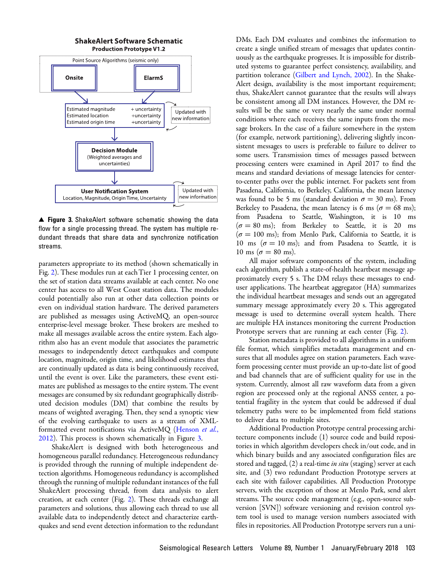

▲ Figure 3. ShakeAlert software schematic showing the data flow for a single processing thread. The system has multiple redundant threads that share data and synchronize notification streams.

parameters appropriate to its method (shown schematically in Fig. [2](#page-3-0)). These modules run at eachTier 1 processing center, on the set of station data streams available at each center. No one center has access to all West Coast station data. The modules could potentially also run at other data collection points or even on individual station hardware. The derived parameters are published as messages using ActiveMQ, an open-source enterprise-level message broker. These brokers are meshed to make all messages available across the entire system. Each algorithm also has an event module that associates the parametric messages to independently detect earthquakes and compute location, magnitude, origin time, and likelihood estimates that are continually updated as data is being continuously received, until the event is over. Like the parameters, these event estimates are published as messages to the entire system. The event messages are consumed by six redundant geographically distributed decision modules (DM) that combine the results by means of weighted averaging. Then, they send a synoptic view of the evolving earthquake to users as a stream of XML-formatted event notifications via ActiveMQ ([Henson](#page-8-0) et al., [2012](#page-8-0)). This process is shown schematically in Figure 3.

ShakeAlert is designed with both heterogeneous and homogeneous parallel redundancy. Heterogeneous redundancy is provided through the running of multiple independent detection algorithms. Homogeneous redundancy is accomplished through the running of multiple redundant instances of the full ShakeAlert processing thread, from data analysis to alert creation, at each center (Fig. [2\)](#page-3-0). These threads exchange all parameters and solutions, thus allowing each thread to use all available data to independently detect and characterize earthquakes and send event detection information to the redundant

DMs. Each DM evaluates and combines the information to create a single unified stream of messages that updates continuously as the earthquake progresses. It is impossible for distributed systems to guarantee perfect consistency, availability, and partition tolerance ([Gilbert and Lynch, 2002\)](#page-7-0). In the Shake-Alert design, availability is the most important requirement; thus, ShakeAlert cannot guarantee that the results will always be consistent among all DM instances. However, the DM results will be the same or very nearly the same under normal conditions where each receives the same inputs from the message brokers. In the case of a failure somewhere in the system (for example, network partitioning), delivering slightly inconsistent messages to users is preferable to failure to deliver to some users. Transmission times of messages passed between processing centers were examined in April 2017 to find the means and standard deviations of message latencies for centerto-center paths over the public internet. For packets sent from Pasadena, California, to Berkeley, California, the mean latency was found to be 5 ms (standard deviation  $\sigma = 30$  ms). From Berkeley to Pasadena, the mean latency is 6 ms ( $\sigma = 68$  ms); from Pasadena to Seattle, Washington, it is 10 ms  $(\sigma = 80 \text{ ms})$ ; from Berkeley to Seattle, it is 20 ms  $(\sigma = 100 \text{ ms})$ ; from Menlo Park, California to Seattle, it is 10 ms ( $\sigma = 10$  ms); and from Pasadena to Seattle, it is 10 ms ( $\sigma = 80$  ms).

All major software components of the system, including each algorithm, publish a state-of-health heartbeat message approximately every 5 s. The DM relays these messages to enduser applications. The heartbeat aggregator (HA) summarizes the individual heartbeat messages and sends out an aggregated summary message approximately every 20 s. This aggregated message is used to determine overall system health. There are multiple HA instances monitoring the current Production Prototype servers that are running at each center (Fig. [2\)](#page-3-0).

Station metadata is provided to all algorithms in a uniform file format, which simplifies metadata management and ensures that all modules agree on station parameters. Each waveform processing center must provide an up-to-date list of good and bad channels that are of sufficient quality for use in the system. Currently, almost all raw waveform data from a given region are processed only at the regional ANSS center, a potential fragility in the system that could be addressed if dual telemetry paths were to be implemented from field stations to deliver data to multiple sites.

Additional Production Prototype central processing architecture components include (1) source code and build repositories in which algorithm developers check in/out code, and in which binary builds and any associated configuration files are stored and tagged, (2) a real-time in situ (staging) server at each site, and (3) two redundant Production Prototype servers at each site with failover capabilities. All Production Prototype servers, with the exception of those at Menlo Park, send alert streams. The source code management (e.g., open-source subversion [SVN]) software versioning and revision control system tool is used to manage version numbers associated with files in repositories. All Production Prototype servers run a uni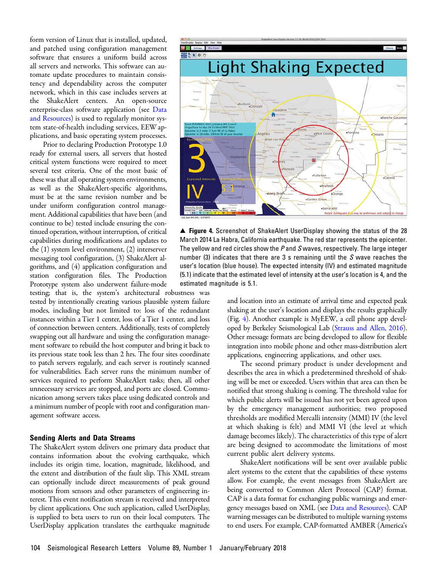form version of Linux that is installed, updated, and patched using configuration management software that ensures a uniform build across all servers and networks. This software can automate update procedures to maintain consistency and dependability across the computer network, which in this case includes servers at the ShakeAlert centers. An open-source enterprise-class software application (see [Data](#page-7-0) [and Resources](#page-7-0)) is used to regularly monitor system state-of-health including services, EEW applications, and basic operating system processes.

Prior to declaring Production Prototype 1.0 ready for external users, all servers that hosted critical system functions were required to meet several test criteria. One of the most basic of these was that all operating system environments, as well as the ShakeAlert-specific algorithms, must be at the same revision number and be under uniform configuration control management. Additional capabilities that have been (and continue to be) tested include ensuring the continued operation, without interruption, of critical capabilities during modifications and updates to the (1) system level environment, (2) interserver messaging tool configuration, (3) ShakeAlert algorithms, and (4) application configuration and station configuration files. The Production Prototype system also underwent failure-mode

testing; that is, the system's architectural robustness was tested by intentionally creating various plausible system failure modes, including but not limited to: loss of the redundant instances within a Tier 1 center, loss of a Tier 1 center, and loss of connection between centers. Additionally, tests of completely swapping out all hardware and using the configuration management software to rebuild the host computer and bring it back to its previous state took less than 2 hrs. The four sites coordinate to patch servers regularly, and each server is routinely scanned for vulnerabilities. Each server runs the minimum number of services required to perform ShakeAlert tasks; then, all other unnecessary services are stopped, and ports are closed. Communication among servers takes place using dedicated controls and a minimum number of people with root and configuration management software access.

#### Sending Alerts and Data Streams

The ShakeAlert system delivers one primary data product that contains information about the evolving earthquake, which includes its origin time, location, magnitude, likelihood, and the extent and distribution of the fault slip. This XML stream can optionally include direct measurements of peak ground motions from sensors and other parameters of engineering interest. This event notification stream is received and interpreted by client applications. One such application, called UserDisplay, is supplied to beta users to run on their local computers. The UserDisplay application translates the earthquake magnitude



▲ Figure 4. Screenshot of ShakeAlert UserDisplay showing the status of the 28 March 2014 La Habra, California earthquake. The red star represents the epicenter. The yellow and red circles show the P and S waves, respectively. The large integer number (3) indicates that there are 3 s remaining until the  $S$  wave reaches the user's location (blue house). The expected intensity (IV) and estimated magnitude (5.1) indicate that the estimated level of intensity at the user's location is 4, and the estimated magnitude is 5.1.

and location into an estimate of arrival time and expected peak shaking at the user's location and displays the results graphically (Fig. 4). Another example is MyEEW, a cell phone app developed by Berkeley Seismological Lab [\(Strauss and Allen, 2016\)](#page-8-0). Other message formats are being developed to allow for flexible integration into mobile phone and other mass-distribution alert applications, engineering applications, and other uses.

The second primary product is under development and describes the area in which a predetermined threshold of shaking will be met or exceeded. Users within that area can then be notified that strong shaking is coming. The threshold value for which public alerts will be issued has not yet been agreed upon by the emergency management authorities; two proposed thresholds are modified Mercalli intensity (MMI) IV (the level at which shaking is felt) and MMI VI (the level at which damage becomes likely). The characteristics of this type of alert are being designed to accommodate the limitations of most current public alert delivery systems.

ShakeAlert notifications will be sent over available public alert systems to the extent that the capabilities of these systems allow. For example, the event messages from ShakeAlert are being converted to Common Alert Protocol (CAP) format. CAP is a data format for exchanging public warnings and emergency messages based on XML (see [Data and Resources\)](#page-7-0). CAP warning messages can be distributed to multiple warning systems to end users. For example, CAP-formatted AMBER (America's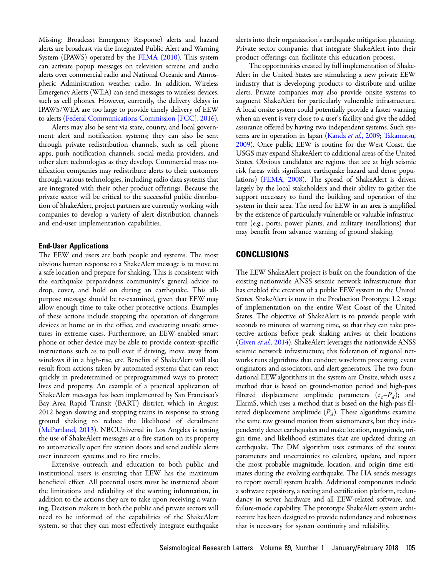Missing: Broadcast Emergency Response) alerts and hazard alerts are broadcast via the Integrated Public Alert and Warning System (IPAWS) operated by the [FEMA \(2010\)](#page-7-0). This system can activate popup messages on television screens and audio alerts over commercial radio and National Oceanic and Atmospheric Administration weather radio. In addition, Wireless Emergency Alerts (WEA) can send messages to wireless devices, such as cell phones. However, currently, the delivery delays in IPAWS/WEA are too large to provide timely delivery of EEW to alerts [\(Federal Communications Commission \[FCC\], 2016\)](#page-7-0).

Alerts may also be sent via state, county, and local government alert and notification systems; they can also be sent through private redistribution channels, such as cell phone apps, push notification channels, social media providers, and other alert technologies as they develop. Commercial mass notification companies may redistribute alerts to their customers through various technologies, including radio data systems that are integrated with their other product offerings. Because the private sector will be critical to the successful public distribution of ShakeAlert, project partners are currently working with companies to develop a variety of alert distribution channels and end-user implementation capabilities.

### End-User Applications

The EEW end users are both people and systems. The most obvious human response to a ShakeAlert message is to move to a safe location and prepare for shaking. This is consistent with the earthquake preparedness community's general advice to drop, cover, and hold on during an earthquake. This allpurpose message should be re-examined, given that EEW may allow enough time to take other protective actions. Examples of these actions include stopping the operation of dangerous devices at home or in the office, and evacuating unsafe structures in extreme cases. Furthermore, an EEW-enabled smart phone or other device may be able to provide context-specific instructions such as to pull over if driving, move away from windows if in a high-rise, etc. Benefits of ShakeAlert will also result from actions taken by automated systems that can react quickly in predetermined or preprogrammed ways to protect lives and property. An example of a practical application of ShakeAlert messages has been implemented by San Francisco's Bay Area Rapid Transit (BART) district, which in August 2012 began slowing and stopping trains in response to strong ground shaking to reduce the likelihood of derailment [\(McPartland, 2013\)](#page-8-0). NBCUniversal in Los Angeles is testing the use of ShakeAlert messages at a fire station on its property to automatically open fire station doors and send audible alerts over intercom systems and to fire trucks.

Extensive outreach and education to both public and institutional users is ensuring that EEW has the maximum beneficial effect. All potential users must be instructed about the limitations and reliability of the warning information, in addition to the actions they are to take upon receiving a warning. Decision makers in both the public and private sectors will need to be informed of the capabilities of the ShakeAlert system, so that they can most effectively integrate earthquake

alerts into their organization's earthquake mitigation planning. Private sector companies that integrate ShakeAlert into their product offerings can facilitate this education process.

The opportunities created by full implementation of Shake-Alert in the United States are stimulating a new private EEW industry that is developing products to distribute and utilize alerts. Private companies may also provide onsite systems to augment ShakeAlert for particularly vulnerable infrastructure. A local onsite system could potentially provide a faster warning when an event is very close to a user's facility and give the added assurance offered by having two independent systems. Such sys-tems are in operation in Japan [\(Kanda](#page-8-0) et al., 2009; [Takamatsu,](#page-8-0) [2009\)](#page-8-0). Once public EEW is routine for the West Coast, the USGS may expand ShakeAlert to additional areas of the United States. Obvious candidates are regions that are at high seismic risk (areas with significant earthquake hazard and dense populations) [\(FEMA, 2008](#page-7-0)). The spread of ShakeAlert is driven largely by the local stakeholders and their ability to gather the support necessary to fund the building and operation of the system in their area. The need for EEW in an area is amplified by the existence of particularly vulnerable or valuable infrastructure (e.g., ports, power plants, and military installations) that may benefit from advance warning of ground shaking.

## CONCLUSIONS

The EEW ShakeAlert project is built on the foundation of the existing nationwide ANSS seismic network infrastructure that has enabled the creation of a public EEW system in the United States. ShakeAlert is now in the Production Prototype 1.2 stage of implementation on the entire West Coast of the United States. The objective of ShakeAlert is to provide people with seconds to minutes of warning time, so that they can take protective actions before peak shaking arrives at their locations [\(Given](#page-7-0) *et al.*, 2014). ShakeAlert leverages the nationwide ANSS seismic network infrastructure; this federation of regional networks runs algorithms that conduct waveform processing, event originators and associators, and alert generators. The two foundational EEW algorithms in the system are Onsite, which uses a method that is based on ground-motion period and high-pass filtered displacement amplitude parameters  $(\tau_c-P_d)$ ; and ElarmS, which uses a method that is based on the high-pass filtered displacement amplitude  $(P_d)$ . These algorithms examine the same raw ground motion from seismometers, but they independently detect earthquakes and make location, magnitude, origin time, and likelihood estimates that are updated during an earthquake. The DM algorithm uses estimates of the source parameters and uncertainties to calculate, update, and report the most probable magnitude, location, and origin time estimates during the evolving earthquake. The HA sends messages to report overall system health. Additional components include a software repository, a testing and certification platform, redundancy in server hardware and all EEW-related software, and failure-mode capability. The prototype ShakeAlert system architecture has been designed to provide redundancy and robustness that is necessary for system continuity and reliability.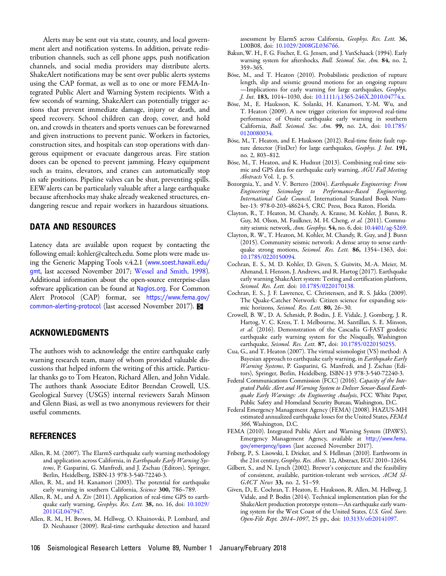<span id="page-7-0"></span>Alerts may be sent out via state, county, and local government alert and notification systems. In addition, private redistribution channels, such as cell phone apps, push notification channels, and social media providers may distribute alerts. ShakeAlert notifications may be sent over public alerts systems using the CAP format, as well as to one or more FEMA-Integrated Public Alert and Warning System recipients. With a few seconds of warning, ShakeAlert can potentially trigger actions that prevent immediate damage, injury or death, and speed recovery. School children can drop, cover, and hold on, and crowds in theaters and sports venues can be forewarned and given instructions to prevent panic. Workers in factories, construction sites, and hospitals can stop operations with dangerous equipment or evacuate dangerous areas. Fire station doors can be opened to prevent jamming. Heavy equipment such as trains, elevators, and cranes can automatically stop in safe positions. Pipeline valves can be shut, preventing spills. EEW alerts can be particularly valuable after a large earthquake because aftershocks may shake already weakened structures, endangering rescue and repair workers in hazardous situations.

## DATA AND RESOURCES

Latency data are available upon request by contacting the following email: kohler@caltech.edu. Some plots were made using the Generic Mapping Tools v.4.2.1 ([www.soest.hawaii.edu/](http://www.soest.hawaii.edu/gmt) [gmt](http://www.soest.hawaii.edu/gmt), last accessed November 2017; [Wessel and Smith, 1998\)](#page-8-0). Additional information about the open-source enterprise-class software application can be found at [Nagios.org](http://Nagios.org). For Common Alert Protocol (CAP) format, see [https://www.fema.gov/](https://www.fema.gov/common-alerting-protocol) [common-alerting-protocol](https://www.fema.gov/common-alerting-protocol) (last accessed November 2017).

# ACKNOWLEDGMENTS

The authors wish to acknowledge the entire earthquake early warning research team, many of whom provided valuable discussions that helped inform the writing of this article. Particular thanks go to Tom Heaton, Richard Allen, and John Vidale. The authors thank Associate Editor Brendan Crowell, U.S. Geological Survey (USGS) internal reviewers Sarah Minson and Glenn Biasi, as well as two anonymous reviewers for their useful comments.

## REFERENCES

- Allen, R. M. (2007). The ElarmS earthquake early warning methodology and application across California, in Earthquake Early Warning Systems, P. Gasparini, G. Manfredi, and J. Zschau (Editors), Springer, Berlin, Heidelberg, ISBN-13 978-3-540-72240-3.
- Allen, R. M., and H. Kanamori (2003). The potential for earthquake early warning in southern California, Science 300, 786-789.
- Allen, R. M., and A. Ziv (2011). Application of real-time GPS to earth-quake early warning, Geophys. Res. Lett. 38, no. 16, doi: [10.1029/](http://dx.doi.org/10.1029/2011GL047947) [2011GL047947](http://dx.doi.org/10.1029/2011GL047947).
- Allen, R. M., H. Brown, M. Hellweg, O. Khainovski, P. Lombard, and D. Neuhauser (2009). Real-time earthquake detection and hazard

assessment by ElarmS across California, Geophys. Res. Lett. 36, L00B08, doi: [10.1029/2008GL036766](http://dx.doi.org/10.1029/2008GL036766).

- Bakun,W. H., F. G. Fischer, E. G. Jensen, and J. VanSchaack (1994). Early warning system for aftershocks, Bull. Seismol. Soc. Am. 84, no. 2, 359–365.
- Böse, M., and T. Heaton (2010). Probabilistic prediction of rupture length, slip and seismic ground motions for an ongoing rupture —Implications for early warning for large earthquakes, Geophys. J. Int. 183, 1014–1030, doi: [10.1111/j.1365-246X.2010.04774.x](http://dx.doi.org/10.1111/j.1365-246X.2010.04774.x).
- Böse, M., E. Hauksson, K. Solanki, H. Kanamori, Y.-M. Wu, and T. Heaton (2009). A new trigger criterion for improved real-time performance of Onsite earthquake early warning in southern California, Bull. Seismol. Soc. Am. 99, no. 2A, doi: [10.1785/](http://dx.doi.org/10.1785/0120080034) [0120080034](http://dx.doi.org/10.1785/0120080034).
- Böse, M., T. Heaton, and E. Hauksson (2012). Real-time finite fault rupture detector (FinDer) for large earthquakes, Geophys. J. Int. 191, no. 2, 803–812.
- Böse, M., T. Heaton, and K. Hudnut (2013). Combining real-time seismic and GPS data for earthquake early warning, AGU Fall Meeting Abstracts Vol. 1, p. 5.
- Bozorgnia, Y., and V. V. Bertero (2004). Earthquake Engineering: From Engineering Seismology to Performance-Based Engineering, International Code Council, International Standard Book Number-13: 978-0-203-48624-5, CRC Press, Boca Raton, Florida.
- Clayton, R., T. Heaton, M. Chandy, A. Krause, M. Kohler, J. Bunn, R. Guy, M. Olson, M. Faulkner, M. H. Cheng, et al. (2011). Commu-nity seismic network, Ann. Geophys. 54, no. 6, doi: [10.4401/ag-5269](http://dx.doi.org/10.4401/ag-5269).
- Clayton, R. W., T. Heaton, M. Kohler, M. Chandy, R. Guy, and J. Bunn (2015). Community seismic network: A dense array to sense earthquake strong motions, Seismol. Res. Lett. 86, 1354-1363, doi: [10.1785/0220150094](http://dx.doi.org/10.1785/0220150094).
- Cochran, E. S., M. D. Kohler, D. Given, S. Guiwits, M.-A. Meier, M. Ahmand, I. Henson, J. Andrews, and R. Hartog (2017). Earthquake early warning ShakeAlert system: Testing and certification platform, Seismol. Res. Lett. doi: [10.1785/0220170138](http://dx.doi.org/10.1785/0220170138).
- Cochran, E. S., J. F. Lawrence, C. Christensen, and R. S. Jakka (2009). The Quake-Catcher Network: Citizen science for expanding seismic horizons, Seismol. Res. Lett. 80, 26–30.
- Crowell, B. W., D. A. Schmidt, P. Bodin, J. E. Vidale, J. Gomberg, J. R. Hartog, V. C. Kress, T. I. Melbourne, M. Santillan, S. E. Minson, et al. (2016). Demonstration of the Cascadia G-FAST geodetic earthquake early warning system for the Nisqually, Washington earthquake, Seismol. Res. Lett. 87, doi: [10.1785/0220150255.](http://dx.doi.org/10.1785/0220150255)
- Cua, G., and T. Heaton (2007). The virtual seismologist (VS) method: A Bayesian approach to earthquake early warning, in Earthquake Early Warning Systems, P. Gasparini, G. Manfredi, and J. Zschau (Editors), Springer, Berlin, Heidelberg, ISBN-13 978-3-540-72240-3.
- Federal Communications Commission (FCC) (2016). Capacity of the Integrated Public Alert and Warning System to Deliver Sensor-Based Earthquake Early Warnings: An Engineering Analysis, FCC White Paper, Public Safety and Homeland Security Bureau, Washington, D.C.
- Federal Emergency Management Agency (FEMA) (2008). HAZUS-MH estimated annualized earthquake losses for the United States, FEMA 366, Washington, D.C.
- FEMA (2010). Integrated Public Alert and Warning System (IPAWS), Emergency Management Agency, available at [http://www.fema.](http://www.fema.gov/emergency/ipaws) [gov/emergency/ipaws](http://www.fema.gov/emergency/ipaws) (last accessed November 2017).
- Friberg, P., S. Lisowski, I. Dricker, and S. Hellman (2010). Earthworm in the 21st century, Geophys. Res. Abstr. 12, Abstract, EGU 2010-12654.
- Gilbert, S., and N. Lynch (2002). Brewer's conjecture and the feasibility of consistent, available, partition-tolerant web services, ACM SI-GACT News 33, no. 2, 51–59.
- Given, D., E. Cochran, T. Heaton, E. Hauksson, R. Allen, M. Hellweg, J. Vidale, and P. Bodin (2014). Technical implementation plan for the ShakeAlert production prototype system—An earthquake early warning system for the West Coast of the United States, U.S. Geol. Surv. Open-File Rept. 2014–1097, 25 pp., doi: [10.3133/ofr20141097.](http://dx.doi.org/10.3133/ofr20141097)